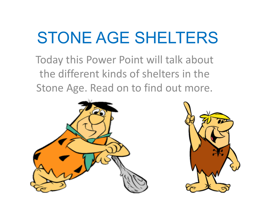# STONE AGE SHELTERS

Today this Power Point will talk about the different kinds of shelters in the Stone Age. Read on to find out more.



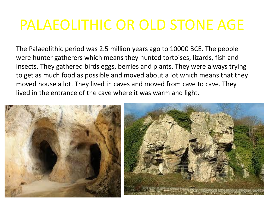### PALAEOLITHIC OR OLD STONE AGE

The Palaeolithic period was 2.5 million years ago to 10000 BCE. The people were hunter gatherers which means they hunted tortoises, lizards, fish and insects. They gathered birds eggs, berries and plants. They were always trying to get as much food as possible and moved about a lot which means that they moved house a lot. They lived in caves and moved from cave to cave. They lived in the entrance of the cave where it was warm and light.

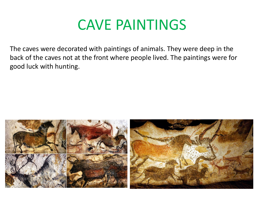#### CAVE PAINTINGS

The caves were decorated with paintings of animals. They were deep in the back of the caves not at the front where people lived. The paintings were for good luck with hunting.

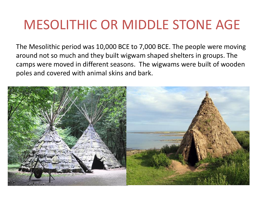#### MESOLITHIC OR MIDDLE STONE AGE

The Mesolithic period was 10,000 BCE to 7,000 BCE. The people were moving around not so much and they built wigwam shaped shelters in groups. The camps were moved in different seasons. The wigwams were built of wooden poles and covered with animal skins and bark.

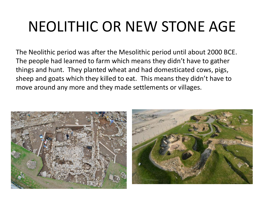# NEOLITHIC OR NEW STONE AGE

The Neolithic period was after the Mesolithic period until about 2000 BCE. The people had learned to farm which means they didn't have to gather things and hunt. They planted wheat and had domesticated cows, pigs, sheep and goats which they killed to eat. This means they didn't have to move around any more and they made settlements or villages.

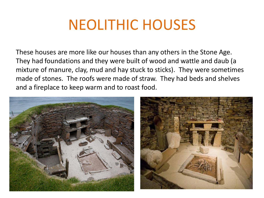### NEOLITHIC HOUSES

These houses are more like our houses than any others in the Stone Age. They had foundations and they were built of wood and wattle and daub (a mixture of manure, clay, mud and hay stuck to sticks). They were sometimes made of stones. The roofs were made of straw. They had beds and shelves and a fireplace to keep warm and to roast food.

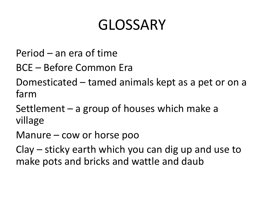## GLOSSARY

- Period an era of time
- BCE Before Common Era
- Domesticated tamed animals kept as a pet or on a farm
- Settlement a group of houses which make a village
- Manure cow or horse poo
- Clay sticky earth which you can dig up and use to make pots and bricks and wattle and daub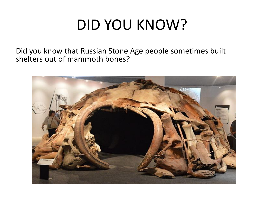## DID YOU KNOW?

Did you know that Russian Stone Age people sometimes built shelters out of mammoth bones?